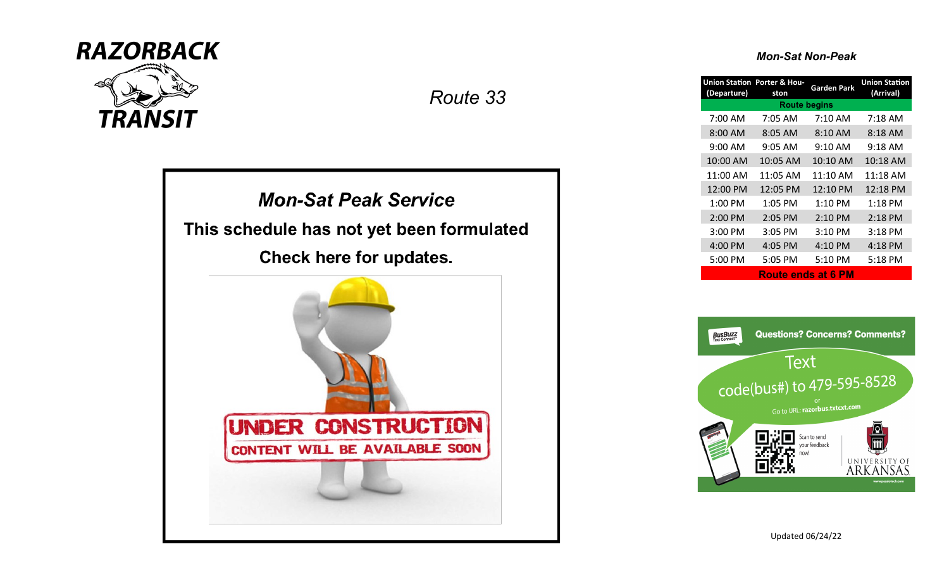

*Route 33*

## **Mon-Sat Peak Service** This schedule has not yet been formulated

Check here for updates.



## *Mon-Sat Non-Peak*

| (Departure)               | <b>Union Station Porter &amp; Hou-</b><br>ston | Garden Park       | <b>Union Station</b><br>(Arrival) |
|---------------------------|------------------------------------------------|-------------------|-----------------------------------|
| <b>Route begins</b>       |                                                |                   |                                   |
| 7:00 AM                   | $7:05 \, \text{AM}$                            | $7:10 \text{ AM}$ | 7:18 AM                           |
| $8:00$ AM                 | $8:05$ AM                                      | $8:10$ AM         | $8:18$ AM                         |
| $9:00 \text{ AM}$         | $9:05 \, \text{AM}$                            | $9:10$ AM         | $9:18 \text{ AM}$                 |
| 10:00 AM                  | 10:05 AM                                       | $10:10$ AM        | 10:18 AM                          |
| 11:00 AM                  | $11:05$ AM                                     | 11:10 AM          | 11:18 AM                          |
| 12:00 PM                  | 12:05 PM                                       | 12:10 PM          | 12:18 PM                          |
| $1:00$ PM                 | $1:05$ PM                                      | $1:10$ PM         | $1:18$ PM                         |
| $2:00$ PM                 | $2:05$ PM                                      | $2:10$ PM         | $2:18$ PM                         |
| 3:00 PM                   | 3:05 PM                                        | $3:10$ PM         | $3:18$ PM                         |
| $4:00$ PM                 | 4:05 PM                                        | $4:10$ PM         | 4:18 PM                           |
| 5:00 PM                   | 5:05 PM                                        | $5:10$ PM         | 5:18 PM                           |
| <b>Route ends at 6 PM</b> |                                                |                   |                                   |